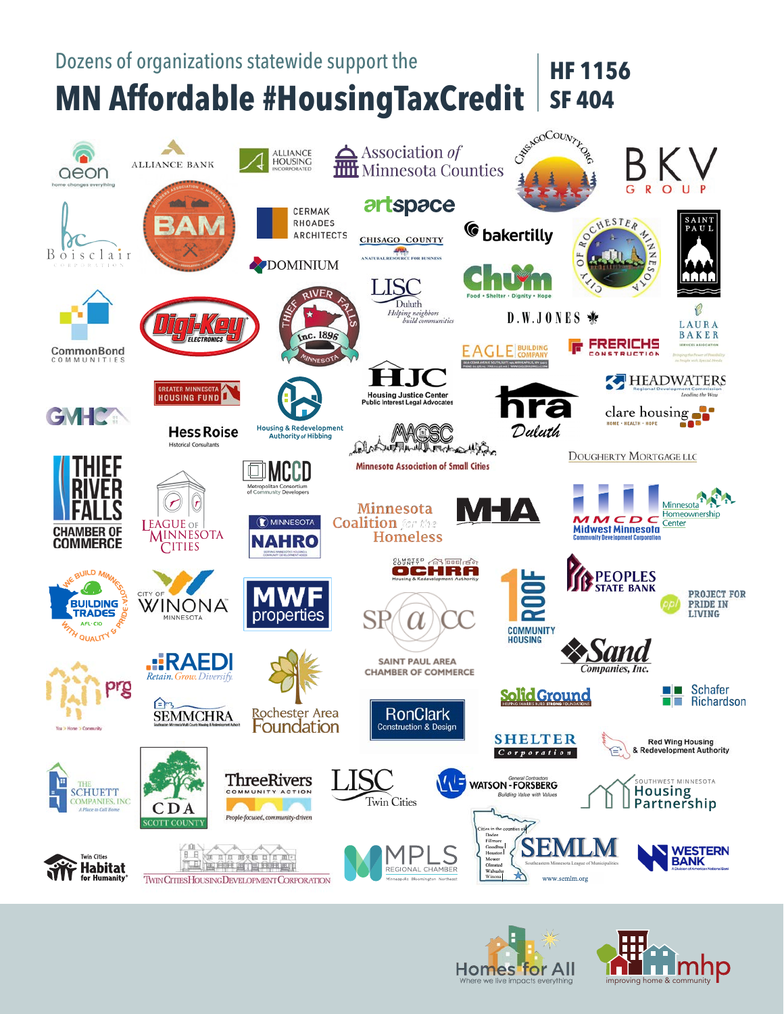